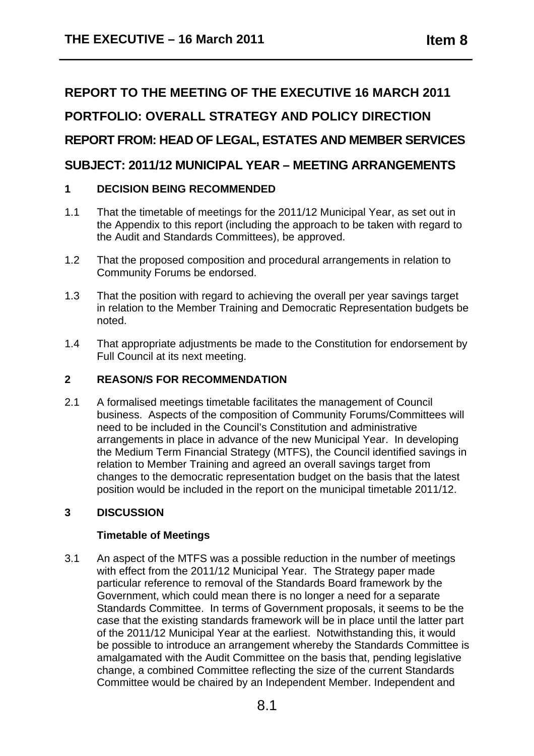# **REPORT TO THE MEETING OF THE EXECUTIVE 16 MARCH 2011 PORTFOLIO: OVERALL STRATEGY AND POLICY DIRECTION REPORT FROM: HEAD OF LEGAL, ESTATES AND MEMBER SERVICES SUBJECT: 2011/12 MUNICIPAL YEAR – MEETING ARRANGEMENTS**

# **1 DECISION BEING RECOMMENDED**

- 1.1 That the timetable of meetings for the 2011/12 Municipal Year, as set out in the Appendix to this report (including the approach to be taken with regard to the Audit and Standards Committees), be approved.
- 1.2 That the proposed composition and procedural arrangements in relation to Community Forums be endorsed.
- 1.3 That the position with regard to achieving the overall per year savings target in relation to the Member Training and Democratic Representation budgets be noted.
- 1.4 That appropriate adjustments be made to the Constitution for endorsement by Full Council at its next meeting.

# **2 REASON/S FOR RECOMMENDATION**

2.1 A formalised meetings timetable facilitates the management of Council business. Aspects of the composition of Community Forums/Committees will need to be included in the Council's Constitution and administrative arrangements in place in advance of the new Municipal Year. In developing the Medium Term Financial Strategy (MTFS), the Council identified savings in relation to Member Training and agreed an overall savings target from changes to the democratic representation budget on the basis that the latest position would be included in the report on the municipal timetable 2011/12.

# **3 DISCUSSION**

# **Timetable of Meetings**

3.1 An aspect of the MTFS was a possible reduction in the number of meetings with effect from the 2011/12 Municipal Year. The Strategy paper made particular reference to removal of the Standards Board framework by the Government, which could mean there is no longer a need for a separate Standards Committee. In terms of Government proposals, it seems to be the case that the existing standards framework will be in place until the latter part of the 2011/12 Municipal Year at the earliest. Notwithstanding this, it would be possible to introduce an arrangement whereby the Standards Committee is amalgamated with the Audit Committee on the basis that, pending legislative change, a combined Committee reflecting the size of the current Standards Committee would be chaired by an Independent Member. Independent and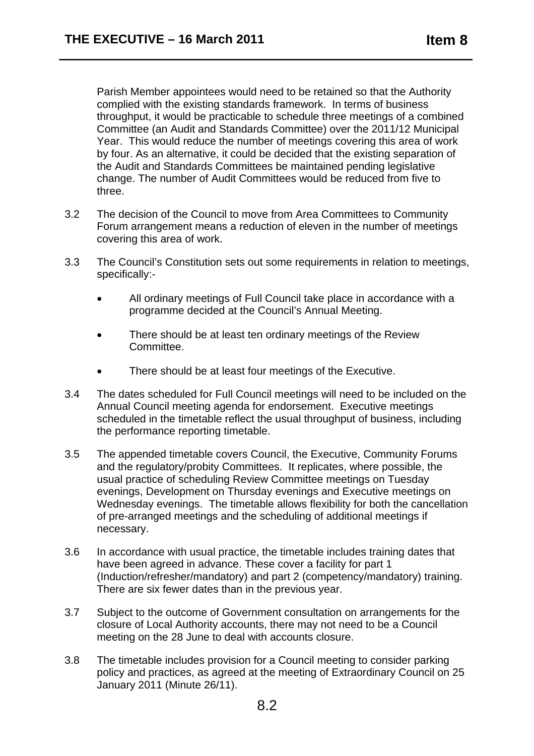Parish Member appointees would need to be retained so that the Authority complied with the existing standards framework. In terms of business throughput, it would be practicable to schedule three meetings of a combined Committee (an Audit and Standards Committee) over the 2011/12 Municipal Year. This would reduce the number of meetings covering this area of work by four. As an alternative, it could be decided that the existing separation of the Audit and Standards Committees be maintained pending legislative change. The number of Audit Committees would be reduced from five to three.

- 3.2 The decision of the Council to move from Area Committees to Community Forum arrangement means a reduction of eleven in the number of meetings covering this area of work.
- 3.3 The Council's Constitution sets out some requirements in relation to meetings, specifically:-
	- All ordinary meetings of Full Council take place in accordance with a programme decided at the Council's Annual Meeting.
	- There should be at least ten ordinary meetings of the Review Committee.
	- There should be at least four meetings of the Executive.
- 3.4 The dates scheduled for Full Council meetings will need to be included on the Annual Council meeting agenda for endorsement. Executive meetings scheduled in the timetable reflect the usual throughput of business, including the performance reporting timetable.
- 3.5 The appended timetable covers Council, the Executive, Community Forums and the regulatory/probity Committees. It replicates, where possible, the usual practice of scheduling Review Committee meetings on Tuesday evenings, Development on Thursday evenings and Executive meetings on Wednesday evenings. The timetable allows flexibility for both the cancellation of pre-arranged meetings and the scheduling of additional meetings if necessary.
- 3.6 In accordance with usual practice, the timetable includes training dates that have been agreed in advance. These cover a facility for part 1 (Induction/refresher/mandatory) and part 2 (competency/mandatory) training. There are six fewer dates than in the previous year.
- 3.7 Subject to the outcome of Government consultation on arrangements for the closure of Local Authority accounts, there may not need to be a Council meeting on the 28 June to deal with accounts closure.
- 3.8 The timetable includes provision for a Council meeting to consider parking policy and practices, as agreed at the meeting of Extraordinary Council on 25 January 2011 (Minute 26/11).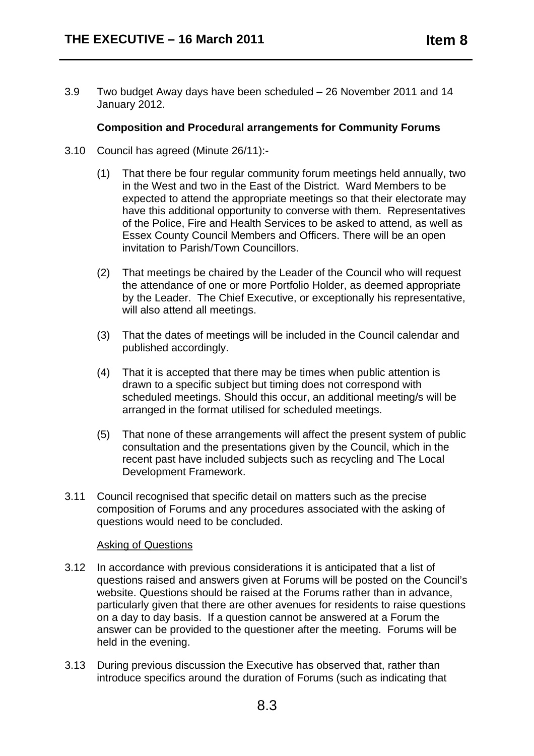3.9 Two budget Away days have been scheduled – 26 November 2011 and 14 January 2012.

# **Composition and Procedural arrangements for Community Forums**

- 3.10 Council has agreed (Minute 26/11):-
	- (1) That there be four regular community forum meetings held annually, two in the West and two in the East of the District. Ward Members to be expected to attend the appropriate meetings so that their electorate may have this additional opportunity to converse with them. Representatives of the Police, Fire and Health Services to be asked to attend, as well as Essex County Council Members and Officers. There will be an open invitation to Parish/Town Councillors.
	- (2) That meetings be chaired by the Leader of the Council who will request the attendance of one or more Portfolio Holder, as deemed appropriate by the Leader. The Chief Executive, or exceptionally his representative, will also attend all meetings.
	- (3) That the dates of meetings will be included in the Council calendar and published accordingly.
	- (4) That it is accepted that there may be times when public attention is drawn to a specific subject but timing does not correspond with scheduled meetings. Should this occur, an additional meeting/s will be arranged in the format utilised for scheduled meetings.
	- (5) That none of these arrangements will affect the present system of public consultation and the presentations given by the Council, which in the recent past have included subjects such as recycling and The Local Development Framework.
- 3.11 Council recognised that specific detail on matters such as the precise composition of Forums and any procedures associated with the asking of questions would need to be concluded.

# Asking of Questions

- 3.12 In accordance with previous considerations it is anticipated that a list of questions raised and answers given at Forums will be posted on the Council's website. Questions should be raised at the Forums rather than in advance, particularly given that there are other avenues for residents to raise questions on a day to day basis. If a question cannot be answered at a Forum the answer can be provided to the questioner after the meeting. Forums will be held in the evening.
- 3.13 During previous discussion the Executive has observed that, rather than introduce specifics around the duration of Forums (such as indicating that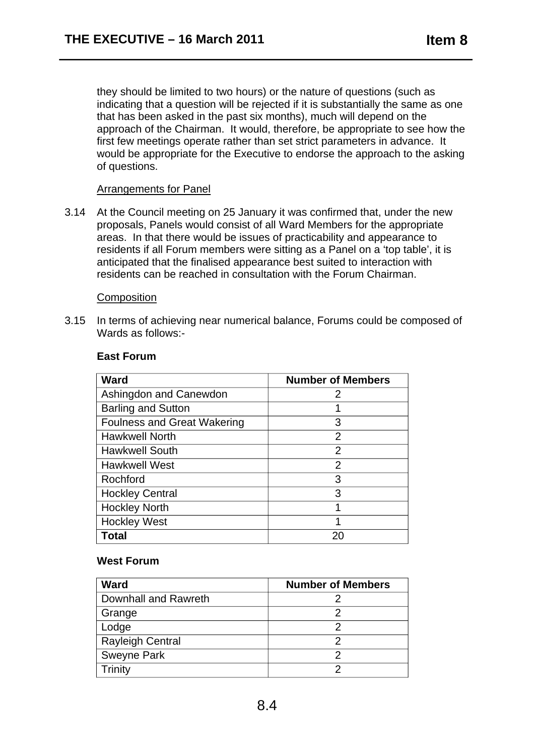they should be limited to two hours) or the nature of questions (such as indicating that a question will be rejected if it is substantially the same as one that has been asked in the past six months), much will depend on the approach of the Chairman. It would, therefore, be appropriate to see how the first few meetings operate rather than set strict parameters in advance. It would be appropriate for the Executive to endorse the approach to the asking of questions.

# Arrangements for Panel

3.14 At the Council meeting on 25 January it was confirmed that, under the new proposals, Panels would consist of all Ward Members for the appropriate areas. In that there would be issues of practicability and appearance to residents if all Forum members were sitting as a Panel on a 'top table', it is anticipated that the finalised appearance best suited to interaction with residents can be reached in consultation with the Forum Chairman.

#### **Composition**

3.15 In terms of achieving near numerical balance, Forums could be composed of Wards as follows:-

| <b>Ward</b>                        | <b>Number of Members</b> |  |  |  |  |  |
|------------------------------------|--------------------------|--|--|--|--|--|
| Ashingdon and Canewdon             | 2                        |  |  |  |  |  |
| <b>Barling and Sutton</b>          | 1                        |  |  |  |  |  |
| <b>Foulness and Great Wakering</b> | 3                        |  |  |  |  |  |
| Hawkwell North                     | $\overline{2}$           |  |  |  |  |  |
| <b>Hawkwell South</b>              | $\overline{2}$           |  |  |  |  |  |
| <b>Hawkwell West</b>               | 2                        |  |  |  |  |  |
| Rochford                           | 3                        |  |  |  |  |  |
| <b>Hockley Central</b>             | 3                        |  |  |  |  |  |
| <b>Hockley North</b>               | 1                        |  |  |  |  |  |
| <b>Hockley West</b>                | 1                        |  |  |  |  |  |
| <b>Total</b>                       |                          |  |  |  |  |  |

#### **East Forum**

# **West Forum**

| <b>Ward</b>             | <b>Number of Members</b> |  |  |  |  |
|-------------------------|--------------------------|--|--|--|--|
| Downhall and Rawreth    |                          |  |  |  |  |
| Grange                  |                          |  |  |  |  |
| Lodge                   |                          |  |  |  |  |
| <b>Rayleigh Central</b> | າ                        |  |  |  |  |
| <b>Sweyne Park</b>      | っ                        |  |  |  |  |
| Trinity                 |                          |  |  |  |  |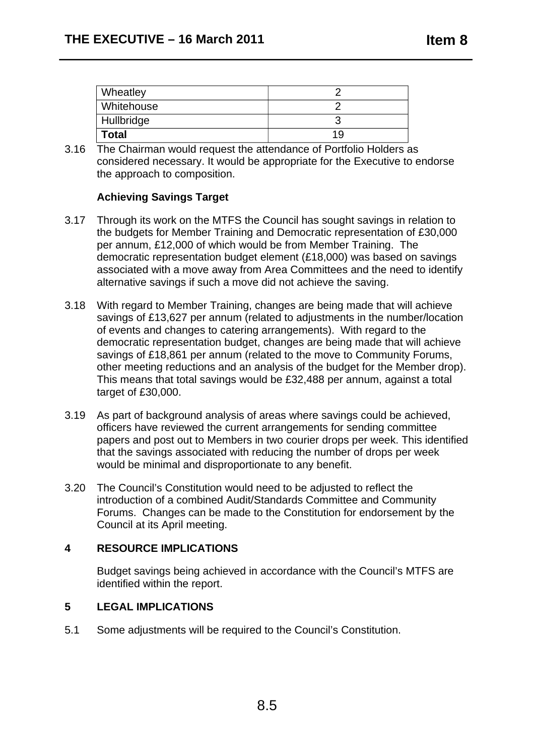| <b>Wheatley</b> |     |
|-----------------|-----|
| Whitehouse      |     |
| Hullbridge      |     |
| <b>Total</b>    | 1 Y |

3.16 The Chairman would request the attendance of Portfolio Holders as considered necessary. It would be appropriate for the Executive to endorse the approach to composition.

# **Achieving Savings Target**

- 3.17 Through its work on the MTFS the Council has sought savings in relation to the budgets for Member Training and Democratic representation of £30,000 per annum, £12,000 of which would be from Member Training. The democratic representation budget element (£18,000) was based on savings associated with a move away from Area Committees and the need to identify alternative savings if such a move did not achieve the saving.
- 3.18 With regard to Member Training, changes are being made that will achieve savings of £13,627 per annum (related to adjustments in the number/location of events and changes to catering arrangements). With regard to the democratic representation budget, changes are being made that will achieve savings of £18,861 per annum (related to the move to Community Forums, other meeting reductions and an analysis of the budget for the Member drop). This means that total savings would be £32,488 per annum, against a total target of £30,000.
- 3.19 As part of background analysis of areas where savings could be achieved, officers have reviewed the current arrangements for sending committee papers and post out to Members in two courier drops per week. This identified that the savings associated with reducing the number of drops per week would be minimal and disproportionate to any benefit.
- 3.20 The Council's Constitution would need to be adjusted to reflect the introduction of a combined Audit/Standards Committee and Community Forums. Changes can be made to the Constitution for endorsement by the Council at its April meeting.

# **4 RESOURCE IMPLICATIONS**

Budget savings being achieved in accordance with the Council's MTFS are identified within the report.

# **5 LEGAL IMPLICATIONS**

5.1 Some adjustments will be required to the Council's Constitution.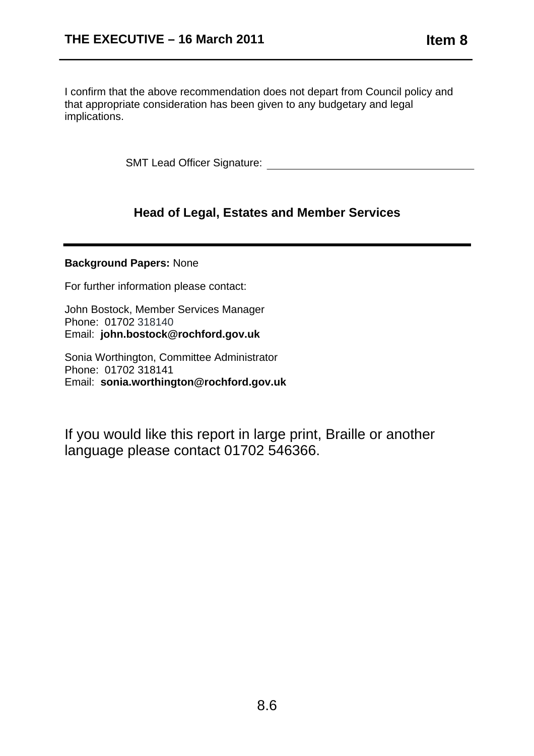I confirm that the above recommendation does not depart from Council policy and that appropriate consideration has been given to any budgetary and legal implications.

SMT Lead Officer Signature:

# **Head of Legal, Estates and Member Services**

#### **Background Papers:** None

For further information please contact:

John Bostock, Member Services Manager Phone: 01702 318140 Email: **john.bostock@rochford.gov.uk** 

Sonia Worthington, Committee Administrator Phone: 01702 318141 Email: **sonia.worthington@rochford.gov.uk** 

If you would like this report in large print, Braille or another language please contact 01702 546366.